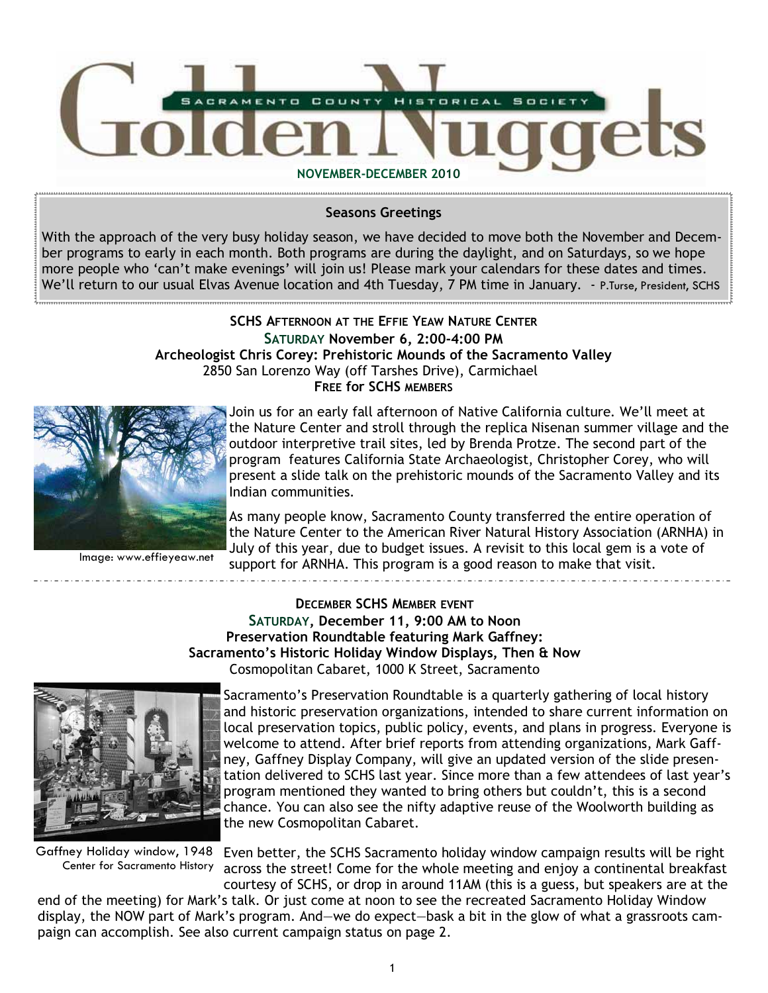

Seasons Greetings

With the approach of the very busy holiday season, we have decided to move both the November and December programs to early in each month. Both programs are during the daylight, and on Saturdays, so we hope more people who 'can't make evenings' will join us! Please mark your calendars for these dates and times. We'll return to our usual Elvas Avenue location and 4th Tuesday, 7 PM time in January. - P.Turse, President, SCHS

### SCHS AFTERNOON AT THE EFFIE YEAW NATURE CENTER SATURDAY November 6, 2:00-4:00 PM Archeologist Chris Corey: Prehistoric Mounds of the Sacramento Valley 2850 San Lorenzo Way (off Tarshes Drive), Carmichael FREE for SCHS MEMBERS



Join us for an early fall afternoon of Native California culture. We'll meet at the Nature Center and stroll through the replica Nisenan summer village and the outdoor interpretive trail sites, led by Brenda Protze. The second part of the program features California State Archaeologist, Christopher Corey, who will present a slide talk on the prehistoric mounds of the Sacramento Valley and its Indian communities.

Image: www.effieyeaw.net

As many people know, Sacramento County transferred the entire operation of the Nature Center to the American River Natural History Association (ARNHA) in July of this year, due to budget issues. A revisit to this local gem is a vote of support for ARNHA. This program is a good reason to make that visit.

DECEMBER SCHS MEMBER EVENT SATURDAY, December 11, 9:00 AM to Noon Preservation Roundtable featuring Mark Gaffney: Sacramento's Historic Holiday Window Displays, Then & Now Cosmopolitan Cabaret, 1000 K Street, Sacramento



Center for Sacramento History

Sacramento's Preservation Roundtable is a quarterly gathering of local history and historic preservation organizations, intended to share current information on local preservation topics, public policy, events, and plans in progress. Everyone is welcome to attend. After brief reports from attending organizations, Mark Gaffney, Gaffney Display Company, will give an updated version of the slide presentation delivered to SCHS last year. Since more than a few attendees of last year's program mentioned they wanted to bring others but couldn't, this is a second chance. You can also see the nifty adaptive reuse of the Woolworth building as the new Cosmopolitan Cabaret.

Gaffney Holiday window, 1948 Even better, the SCHS Sacramento holiday window campaign results will be right across the street! Come for the whole meeting and enjoy a continental breakfast courtesy of SCHS, or drop in around 11AM (this is a guess, but speakers are at the

end of the meeting) for Mark's talk. Or just come at noon to see the recreated Sacramento Holiday Window display, the NOW part of Mark's program. And—we do expect—bask a bit in the glow of what a grassroots campaign can accomplish. See also current campaign status on page 2.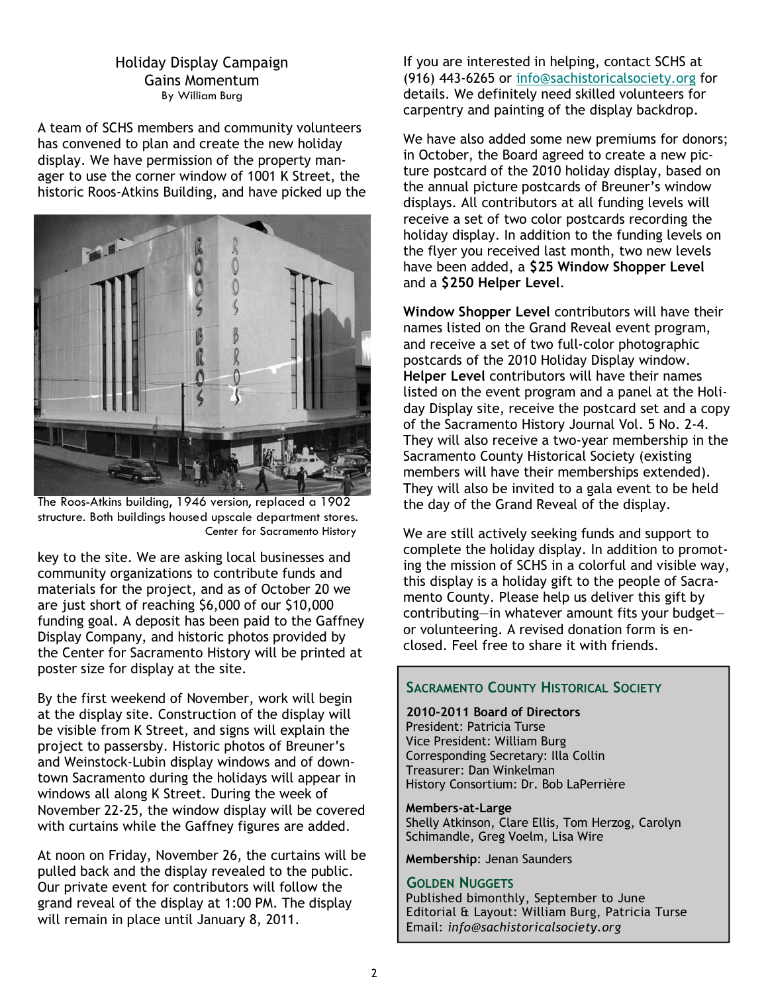### Holiday Display Campaign Gains Momentum By William Burg

A team of SCHS members and community volunteers has convened to plan and create the new holiday display. We have permission of the property manager to use the corner window of 1001 K Street, the historic Roos-Atkins Building, and have picked up the



The Roos-Atkins building, 1946 version, replaced a 1902 structure. Both buildings housed upscale department stores. Center for Sacramento History

key to the site. We are asking local businesses and community organizations to contribute funds and materials for the project, and as of October 20 we are just short of reaching \$6,000 of our \$10,000 funding goal. A deposit has been paid to the Gaffney Display Company, and historic photos provided by the Center for Sacramento History will be printed at poster size for display at the site.

By the first weekend of November, work will begin at the display site. Construction of the display will be visible from K Street, and signs will explain the project to passersby. Historic photos of Breuner's and Weinstock-Lubin display windows and of downtown Sacramento during the holidays will appear in windows all along K Street. During the week of November 22-25, the window display will be covered with curtains while the Gaffney figures are added.

At noon on Friday, November 26, the curtains will be pulled back and the display revealed to the public. Our private event for contributors will follow the grand reveal of the display at 1:00 PM. The display will remain in place until January 8, 2011.

If you are interested in helping, contact SCHS at (916) 443-6265 or info@sachistoricalsociety.org for details. We definitely need skilled volunteers for carpentry and painting of the display backdrop.

We have also added some new premiums for donors: in October, the Board agreed to create a new picture postcard of the 2010 holiday display, based on the annual picture postcards of Breuner's window displays. All contributors at all funding levels will receive a set of two color postcards recording the holiday display. In addition to the funding levels on the flyer you received last month, two new levels have been added, a \$25 Window Shopper Level and a \$250 Helper Level.

Window Shopper Level contributors will have their names listed on the Grand Reveal event program, and receive a set of two full-color photographic postcards of the 2010 Holiday Display window. Helper Level contributors will have their names listed on the event program and a panel at the Holiday Display site, receive the postcard set and a copy of the Sacramento History Journal Vol. 5 No. 2-4. They will also receive a two-year membership in the Sacramento County Historical Society (existing members will have their memberships extended). They will also be invited to a gala event to be held the day of the Grand Reveal of the display.

We are still actively seeking funds and support to complete the holiday display. In addition to promoting the mission of SCHS in a colorful and visible way, this display is a holiday gift to the people of Sacramento County. Please help us deliver this gift by contributing—in whatever amount fits your budget or volunteering. A revised donation form is enclosed. Feel free to share it with friends.

# SACRAMENTO COUNTY HISTORICAL SOCIETY

2010-2011 Board of Directors

President: Patricia Turse Vice President: William Burg Corresponding Secretary: Illa Collin Treasurer: Dan Winkelman History Consortium: Dr. Bob LaPerrière

#### Members-at-Large

 Shelly Atkinson, Clare Ellis, Tom Herzog, Carolyn Schimandle, Greg Voelm, Lisa Wire

Membership: Jenan Saunders

### GOLDEN NUGGETS

Published bimonthly, September to June Editorial & Layout: William Burg, Patricia Turse Email: info@sachistoricalsociety.org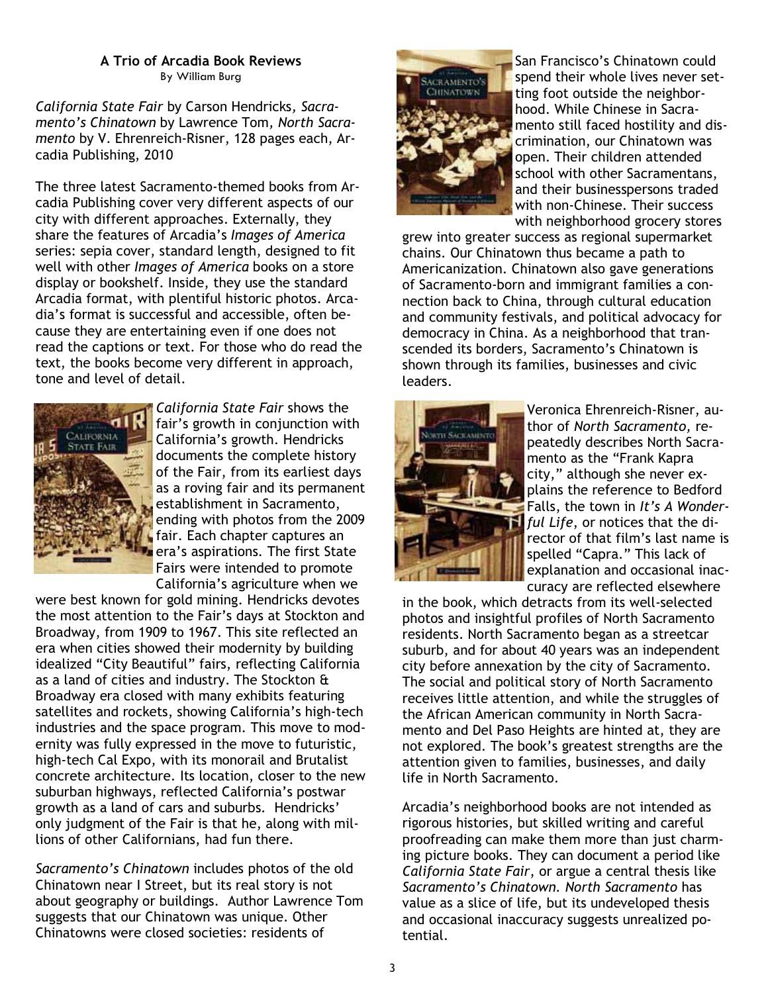### A Trio of Arcadia Book Reviews By William Burg

California State Fair by Carson Hendricks, Sacramento's Chinatown by Lawrence Tom, North Sacramento by V. Ehrenreich-Risner, 128 pages each, Arcadia Publishing, 2010

The three latest Sacramento-themed books from Arcadia Publishing cover very different aspects of our city with different approaches. Externally, they share the features of Arcadia's Images of America series: sepia cover, standard length, designed to fit well with other Images of America books on a store display or bookshelf. Inside, they use the standard Arcadia format, with plentiful historic photos. Arcadia's format is successful and accessible, often because they are entertaining even if one does not read the captions or text. For those who do read the text, the books become very different in approach, tone and level of detail.



California State Fair shows the fair's growth in conjunction with California's growth. Hendricks documents the complete history of the Fair, from its earliest days as a roving fair and its permanent establishment in Sacramento, ending with photos from the 2009 fair. Each chapter captures an era's aspirations. The first State Fairs were intended to promote California's agriculture when we

were best known for gold mining. Hendricks devotes the most attention to the Fair's days at Stockton and Broadway, from 1909 to 1967. This site reflected an era when cities showed their modernity by building idealized "City Beautiful" fairs, reflecting California as a land of cities and industry. The Stockton & Broadway era closed with many exhibits featuring satellites and rockets, showing California's high-tech industries and the space program. This move to modernity was fully expressed in the move to futuristic, high-tech Cal Expo, with its monorail and Brutalist concrete architecture. Its location, closer to the new suburban highways, reflected California's postwar growth as a land of cars and suburbs. Hendricks' only judgment of the Fair is that he, along with millions of other Californians, had fun there.

Sacramento's Chinatown includes photos of the old Chinatown near I Street, but its real story is not about geography or buildings. Author Lawrence Tom suggests that our Chinatown was unique. Other Chinatowns were closed societies: residents of



San Francisco's Chinatown could spend their whole lives never setting foot outside the neighborhood. While Chinese in Sacramento still faced hostility and discrimination, our Chinatown was open. Their children attended school with other Sacramentans, and their businesspersons traded with non-Chinese. Their success with neighborhood grocery stores

grew into greater success as regional supermarket chains. Our Chinatown thus became a path to Americanization. Chinatown also gave generations of Sacramento-born and immigrant families a connection back to China, through cultural education and community festivals, and political advocacy for democracy in China. As a neighborhood that transcended its borders, Sacramento's Chinatown is shown through its families, businesses and civic leaders.



Veronica Ehrenreich-Risner, author of North Sacramento, repeatedly describes North Sacramento as the "Frank Kapra city," although she never explains the reference to Bedford Falls, the town in It's A Wonderful Life, or notices that the director of that film's last name is spelled "Capra." This lack of explanation and occasional inaccuracy are reflected elsewhere

in the book, which detracts from its well-selected photos and insightful profiles of North Sacramento residents. North Sacramento began as a streetcar suburb, and for about 40 years was an independent city before annexation by the city of Sacramento. The social and political story of North Sacramento receives little attention, and while the struggles of the African American community in North Sacramento and Del Paso Heights are hinted at, they are not explored. The book's greatest strengths are the attention given to families, businesses, and daily life in North Sacramento.

Arcadia's neighborhood books are not intended as rigorous histories, but skilled writing and careful proofreading can make them more than just charming picture books. They can document a period like California State Fair, or argue a central thesis like Sacramento's Chinatown. North Sacramento has value as a slice of life, but its undeveloped thesis and occasional inaccuracy suggests unrealized potential.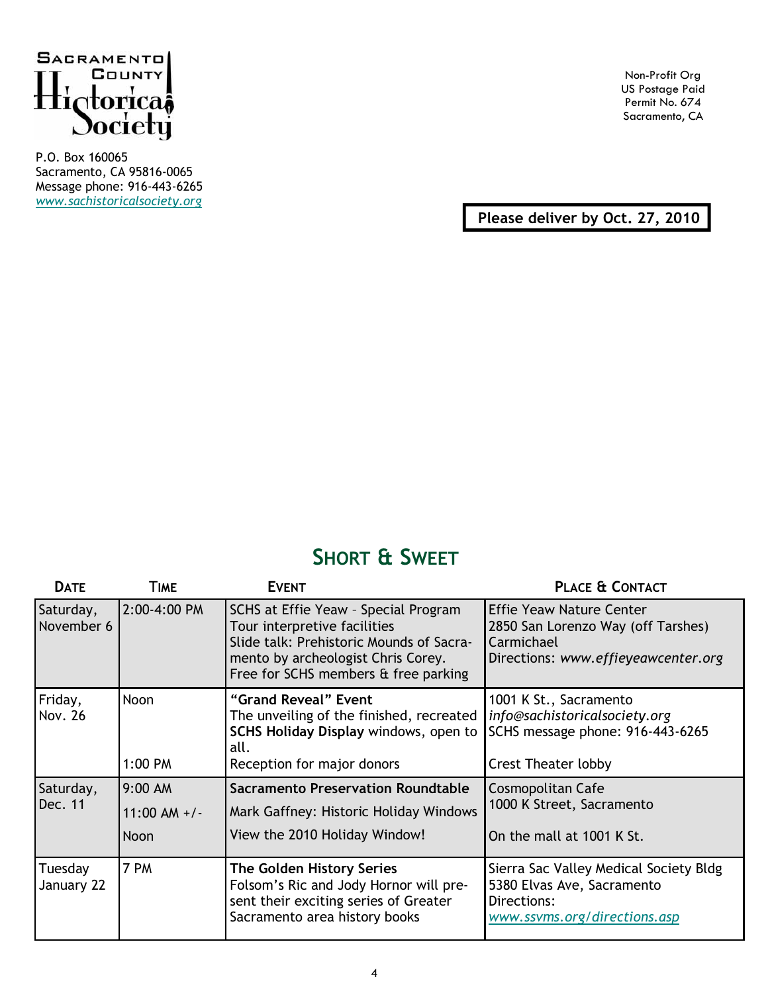

P.O. Box 160065 Sacramento, CA 95816-0065 Message phone: 916-443-6265 www.sachistoricalsociety.org

Non-Profit Org US Postage Paid Permit No. 674 Sacramento, CA

Please deliver by Oct. 27, 2010

# SHORT & SWEET

| <b>DATE</b>             | TIME                       | <b>EVENT</b>                                                                                                                                                                                   | PLACE & CONTACT                                                                                                            |
|-------------------------|----------------------------|------------------------------------------------------------------------------------------------------------------------------------------------------------------------------------------------|----------------------------------------------------------------------------------------------------------------------------|
| Saturday,<br>November 6 | 2:00-4:00 PM               | SCHS at Effie Yeaw - Special Program<br>Tour interpretive facilities<br>Slide talk: Prehistoric Mounds of Sacra-<br>mento by archeologist Chris Corey.<br>Free for SCHS members & free parking | <b>Effie Yeaw Nature Center</b><br>2850 San Lorenzo Way (off Tarshes)<br>Carmichael<br>Directions: www.effieyeawcenter.org |
| Friday,<br>Nov. 26      | Noon<br>1:00 PM            | "Grand Reveal" Event<br>The unveiling of the finished, recreated<br>SCHS Holiday Display windows, open to<br>all.<br>Reception for major donors                                                | 1001 K St., Sacramento<br>info@sachistoricalsociety.org<br>SCHS message phone: 916-443-6265<br><b>Crest Theater lobby</b>  |
|                         |                            |                                                                                                                                                                                                |                                                                                                                            |
| Saturday,<br>Dec. 11    | 9:00 AM<br>$11:00$ AM $+/$ | <b>Sacramento Preservation Roundtable</b><br>Mark Gaffney: Historic Holiday Windows                                                                                                            | Cosmopolitan Cafe<br>1000 K Street, Sacramento                                                                             |
|                         | <b>Noon</b>                | View the 2010 Holiday Window!                                                                                                                                                                  | On the mall at 1001 K St.                                                                                                  |
| Tuesday<br>January 22   | 7 PM                       | <b>The Golden History Series</b><br>Folsom's Ric and Jody Hornor will pre-<br>sent their exciting series of Greater<br>Sacramento area history books                                           | Sierra Sac Valley Medical Society Bldg<br>5380 Elvas Ave, Sacramento<br>Directions:<br>www.ssvms.org/directions.asp        |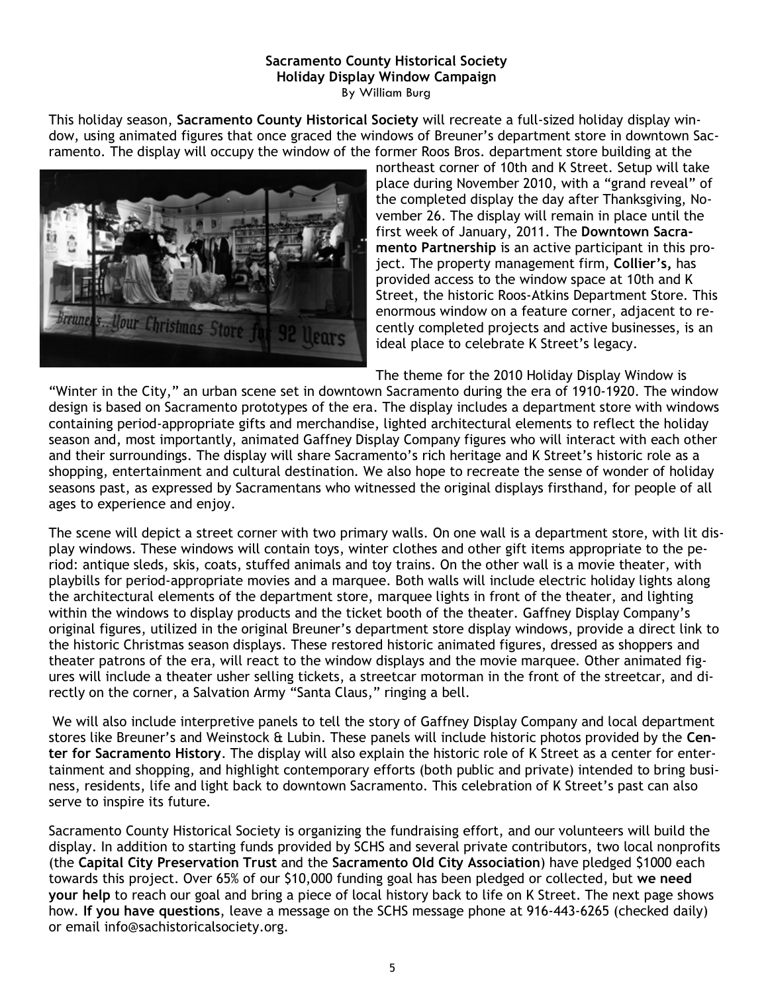# Sacramento County Historical Society Holiday Display Window Campaign

By William Burg

This holiday season, Sacramento County Historical Society will recreate a full-sized holiday display window, using animated figures that once graced the windows of Breuner's department store in downtown Sacramento. The display will occupy the window of the former Roos Bros. department store building at the



northeast corner of 10th and K Street. Setup will take place during November 2010, with a "grand reveal" of the completed display the day after Thanksgiving, November 26. The display will remain in place until the first week of January, 2011. The Downtown Sacramento Partnership is an active participant in this project. The property management firm, Collier's, has provided access to the window space at 10th and K Street, the historic Roos-Atkins Department Store. This enormous window on a feature corner, adjacent to recently completed projects and active businesses, is an ideal place to celebrate K Street's legacy.

The theme for the 2010 Holiday Display Window is

"Winter in the City," an urban scene set in downtown Sacramento during the era of 1910-1920. The window design is based on Sacramento prototypes of the era. The display includes a department store with windows containing period-appropriate gifts and merchandise, lighted architectural elements to reflect the holiday season and, most importantly, animated Gaffney Display Company figures who will interact with each other and their surroundings. The display will share Sacramento's rich heritage and K Street's historic role as a shopping, entertainment and cultural destination. We also hope to recreate the sense of wonder of holiday seasons past, as expressed by Sacramentans who witnessed the original displays firsthand, for people of all ages to experience and enjoy.

The scene will depict a street corner with two primary walls. On one wall is a department store, with lit display windows. These windows will contain toys, winter clothes and other gift items appropriate to the period: antique sleds, skis, coats, stuffed animals and toy trains. On the other wall is a movie theater, with playbills for period-appropriate movies and a marquee. Both walls will include electric holiday lights along the architectural elements of the department store, marquee lights in front of the theater, and lighting within the windows to display products and the ticket booth of the theater. Gaffney Display Company's original figures, utilized in the original Breuner's department store display windows, provide a direct link to the historic Christmas season displays. These restored historic animated figures, dressed as shoppers and theater patrons of the era, will react to the window displays and the movie marquee. Other animated figures will include a theater usher selling tickets, a streetcar motorman in the front of the streetcar, and directly on the corner, a Salvation Army "Santa Claus," ringing a bell.

We will also include interpretive panels to tell the story of Gaffney Display Company and local department stores like Breuner's and Weinstock & Lubin. These panels will include historic photos provided by the Center for Sacramento History. The display will also explain the historic role of K Street as a center for entertainment and shopping, and highlight contemporary efforts (both public and private) intended to bring business, residents, life and light back to downtown Sacramento. This celebration of K Street's past can also serve to inspire its future.

Sacramento County Historical Society is organizing the fundraising effort, and our volunteers will build the display. In addition to starting funds provided by SCHS and several private contributors, two local nonprofits (the Capital City Preservation Trust and the Sacramento Old City Association) have pledged \$1000 each towards this project. Over 65% of our \$10,000 funding goal has been pledged or collected, but we need your help to reach our goal and bring a piece of local history back to life on K Street. The next page shows how. If you have questions, leave a message on the SCHS message phone at 916-443-6265 (checked daily) or email info@sachistoricalsociety.org.